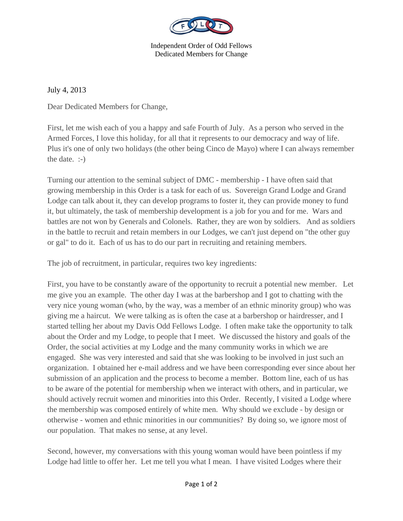

Independent Order of Odd Fellows Dedicated Members for Change

July 4, 2013

Dear Dedicated Members for Change,

First, let me wish each of you a happy and safe Fourth of July. As a person who served in the Armed Forces, I love this holiday, for all that it represents to our democracy and way of life. Plus it's one of only two holidays (the other being Cinco de Mayo) where I can always remember the date. :-)

Turning our attention to the seminal subject of DMC - membership - I have often said that growing membership in this Order is a task for each of us. Sovereign Grand Lodge and Grand Lodge can talk about it, they can develop programs to foster it, they can provide money to fund it, but ultimately, the task of membership development is a job for you and for me. Wars and battles are not won by Generals and Colonels. Rather, they are won by soldiers. And as soldiers in the battle to recruit and retain members in our Lodges, we can't just depend on "the other guy or gal" to do it. Each of us has to do our part in recruiting and retaining members.

The job of recruitment, in particular, requires two key ingredients:

First, you have to be constantly aware of the opportunity to recruit a potential new member. Let me give you an example. The other day I was at the barbershop and I got to chatting with the very nice young woman (who, by the way, was a member of an ethnic minority group) who was giving me a haircut. We were talking as is often the case at a barbershop or hairdresser, and I started telling her about my Davis Odd Fellows Lodge. I often make take the opportunity to talk about the Order and my Lodge, to people that I meet. We discussed the history and goals of the Order, the social activities at my Lodge and the many community works in which we are engaged. She was very interested and said that she was looking to be involved in just such an organization. I obtained her e-mail address and we have been corresponding ever since about her submission of an application and the process to become a member. Bottom line, each of us has to be aware of the potential for membership when we interact with others, and in particular, we should actively recruit women and minorities into this Order. Recently, I visited a Lodge where the membership was composed entirely of white men. Why should we exclude - by design or otherwise - women and ethnic minorities in our communities? By doing so, we ignore most of our population. That makes no sense, at any level.

Second, however, my conversations with this young woman would have been pointless if my Lodge had little to offer her. Let me tell you what I mean. I have visited Lodges where their